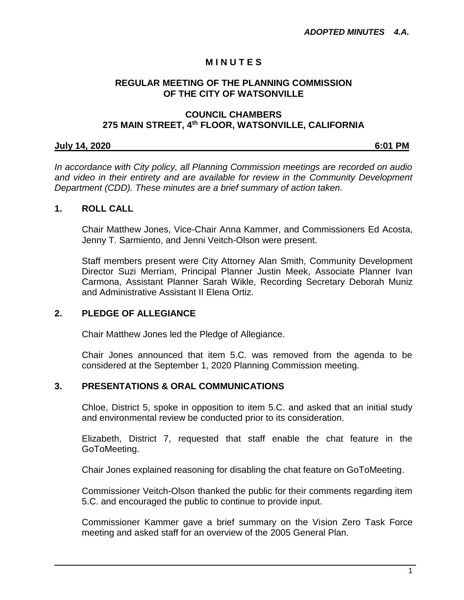# **M I N U T E S**

#### **REGULAR MEETING OF THE PLANNING COMMISSION OF THE CITY OF WATSONVILLE**

#### **COUNCIL CHAMBERS 275 MAIN STREET, 4th FLOOR, WATSONVILLE, CALIFORNIA**

# **July 14, 2020 6:01 PM**

*In accordance with City policy, all Planning Commission meetings are recorded on audio and video in their entirety and are available for review in the Community Development Department (CDD). These minutes are a brief summary of action taken.*

#### **1. ROLL CALL**

Chair Matthew Jones, Vice-Chair Anna Kammer, and Commissioners Ed Acosta, Jenny T. Sarmiento, and Jenni Veitch-Olson were present.

Staff members present were City Attorney Alan Smith, Community Development Director Suzi Merriam, Principal Planner Justin Meek, Associate Planner Ivan Carmona, Assistant Planner Sarah Wikle, Recording Secretary Deborah Muniz and Administrative Assistant II Elena Ortiz.

# **2. PLEDGE OF ALLEGIANCE**

Chair Matthew Jones led the Pledge of Allegiance.

Chair Jones announced that item 5.C. was removed from the agenda to be considered at the September 1, 2020 Planning Commission meeting.

# **3. PRESENTATIONS & ORAL COMMUNICATIONS**

Chloe, District 5, spoke in opposition to item 5.C. and asked that an initial study and environmental review be conducted prior to its consideration.

Elizabeth, District 7, requested that staff enable the chat feature in the GoToMeeting.

Chair Jones explained reasoning for disabling the chat feature on GoToMeeting.

Commissioner Veitch-Olson thanked the public for their comments regarding item 5.C. and encouraged the public to continue to provide input.

Commissioner Kammer gave a brief summary on the Vision Zero Task Force meeting and asked staff for an overview of the 2005 General Plan.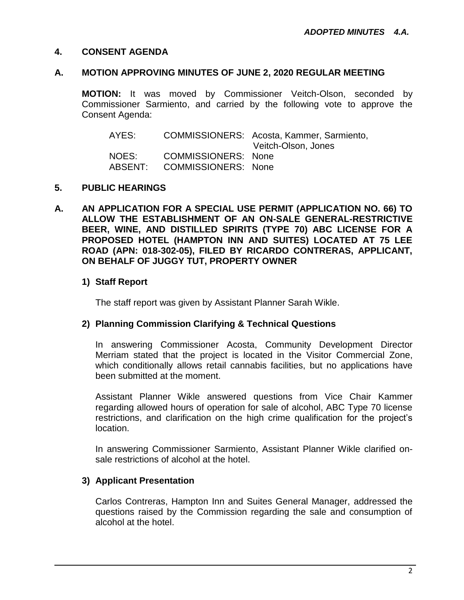# **4. CONSENT AGENDA**

#### **A. MOTION APPROVING MINUTES OF JUNE 2, 2020 REGULAR MEETING**

**MOTION:** It was moved by Commissioner Veitch-Olson, seconded by Commissioner Sarmiento, and carried by the following vote to approve the Consent Agenda:

| AYES:            |                                                          | COMMISSIONERS: Acosta, Kammer, Sarmiento,<br>Veitch-Olson, Jones |
|------------------|----------------------------------------------------------|------------------------------------------------------------------|
| NOES:<br>ABSENT: | <b>COMMISSIONERS: None</b><br><b>COMMISSIONERS: None</b> |                                                                  |

# **5. PUBLIC HEARINGS**

**A. AN APPLICATION FOR A SPECIAL USE PERMIT (APPLICATION NO. 66) TO ALLOW THE ESTABLISHMENT OF AN ON-SALE GENERAL-RESTRICTIVE BEER, WINE, AND DISTILLED SPIRITS (TYPE 70) ABC LICENSE FOR A PROPOSED HOTEL (HAMPTON INN AND SUITES) LOCATED AT 75 LEE ROAD (APN: 018-302-05), FILED BY RICARDO CONTRERAS, APPLICANT, ON BEHALF OF JUGGY TUT, PROPERTY OWNER**

# **1) Staff Report**

The staff report was given by Assistant Planner Sarah Wikle.

# **2) Planning Commission Clarifying & Technical Questions**

In answering Commissioner Acosta, Community Development Director Merriam stated that the project is located in the Visitor Commercial Zone, which conditionally allows retail cannabis facilities, but no applications have been submitted at the moment.

Assistant Planner Wikle answered questions from Vice Chair Kammer regarding allowed hours of operation for sale of alcohol, ABC Type 70 license restrictions, and clarification on the high crime qualification for the project's location.

In answering Commissioner Sarmiento, Assistant Planner Wikle clarified onsale restrictions of alcohol at the hotel.

# **3) Applicant Presentation**

Carlos Contreras, Hampton Inn and Suites General Manager, addressed the questions raised by the Commission regarding the sale and consumption of alcohol at the hotel.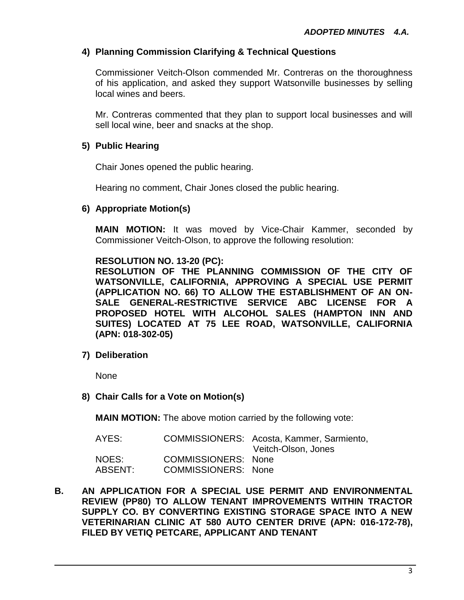# **4) Planning Commission Clarifying & Technical Questions**

Commissioner Veitch-Olson commended Mr. Contreras on the thoroughness of his application, and asked they support Watsonville businesses by selling local wines and beers.

Mr. Contreras commented that they plan to support local businesses and will sell local wine, beer and snacks at the shop.

# **5) Public Hearing**

Chair Jones opened the public hearing.

Hearing no comment, Chair Jones closed the public hearing.

# **6) Appropriate Motion(s)**

**MAIN MOTION:** It was moved by Vice-Chair Kammer, seconded by Commissioner Veitch-Olson, to approve the following resolution:

#### **RESOLUTION NO. 13-20 (PC):**

**RESOLUTION OF THE PLANNING COMMISSION OF THE CITY OF WATSONVILLE, CALIFORNIA, APPROVING A SPECIAL USE PERMIT (APPLICATION NO. 66) TO ALLOW THE ESTABLISHMENT OF AN ON-SALE GENERAL-RESTRICTIVE SERVICE ABC LICENSE FOR A PROPOSED HOTEL WITH ALCOHOL SALES (HAMPTON INN AND SUITES) LOCATED AT 75 LEE ROAD, WATSONVILLE, CALIFORNIA (APN: 018-302-05)**

**7) Deliberation**

None

**8) Chair Calls for a Vote on Motion(s)**

**MAIN MOTION:** The above motion carried by the following vote:

| AYES:   |                            | COMMISSIONERS: Acosta, Kammer, Sarmiento,<br>Veitch-Olson, Jones |
|---------|----------------------------|------------------------------------------------------------------|
| NOES:   | COMMISSIONERS: None        |                                                                  |
| ABSENT: | <b>COMMISSIONERS: None</b> |                                                                  |

**B. AN APPLICATION FOR A SPECIAL USE PERMIT AND ENVIRONMENTAL REVIEW (PP80) TO ALLOW TENANT IMPROVEMENTS WITHIN TRACTOR SUPPLY CO. BY CONVERTING EXISTING STORAGE SPACE INTO A NEW VETERINARIAN CLINIC AT 580 AUTO CENTER DRIVE (APN: 016-172-78), FILED BY VETIQ PETCARE, APPLICANT AND TENANT**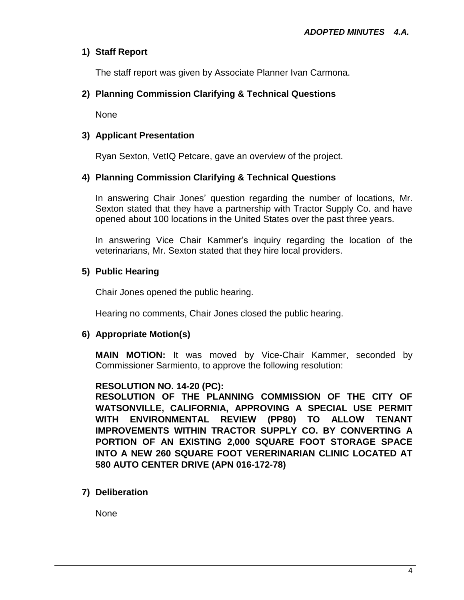# **1) Staff Report**

The staff report was given by Associate Planner Ivan Carmona.

# **2) Planning Commission Clarifying & Technical Questions**

None

# **3) Applicant Presentation**

Ryan Sexton, VetIQ Petcare, gave an overview of the project.

# **4) Planning Commission Clarifying & Technical Questions**

In answering Chair Jones' question regarding the number of locations, Mr. Sexton stated that they have a partnership with Tractor Supply Co. and have opened about 100 locations in the United States over the past three years.

In answering Vice Chair Kammer's inquiry regarding the location of the veterinarians, Mr. Sexton stated that they hire local providers.

# **5) Public Hearing**

Chair Jones opened the public hearing.

Hearing no comments, Chair Jones closed the public hearing.

# **6) Appropriate Motion(s)**

**MAIN MOTION:** It was moved by Vice-Chair Kammer, seconded by Commissioner Sarmiento, to approve the following resolution:

# **RESOLUTION NO. 14-20 (PC):**

**RESOLUTION OF THE PLANNING COMMISSION OF THE CITY OF WATSONVILLE, CALIFORNIA, APPROVING A SPECIAL USE PERMIT WITH ENVIRONMENTAL REVIEW (PP80) TO ALLOW TENANT IMPROVEMENTS WITHIN TRACTOR SUPPLY CO. BY CONVERTING A PORTION OF AN EXISTING 2,000 SQUARE FOOT STORAGE SPACE INTO A NEW 260 SQUARE FOOT VERERINARIAN CLINIC LOCATED AT 580 AUTO CENTER DRIVE (APN 016-172-78)**

# **7) Deliberation**

None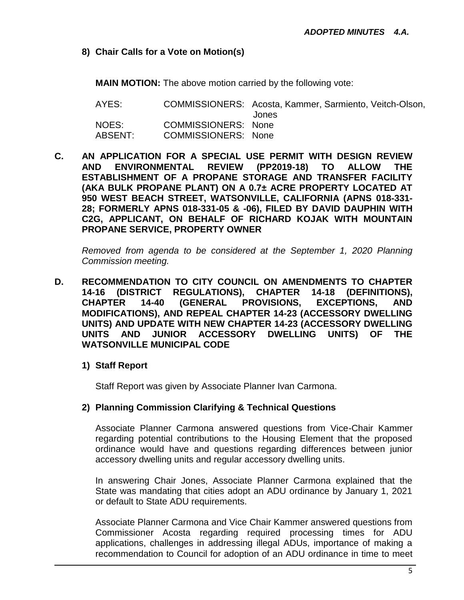**8) Chair Calls for a Vote on Motion(s)**

**MAIN MOTION:** The above motion carried by the following vote:

AYES: COMMISSIONERS: Acosta, Kammer, Sarmiento, Veitch-Olson, Jones NOES: COMMISSIONERS: None ABSENT: COMMISSIONERS: None

**C. AN APPLICATION FOR A SPECIAL USE PERMIT WITH DESIGN REVIEW AND ENVIRONMENTAL REVIEW (PP2019-18) TO ALLOW THE ESTABLISHMENT OF A PROPANE STORAGE AND TRANSFER FACILITY (AKA BULK PROPANE PLANT) ON A 0.7± ACRE PROPERTY LOCATED AT 950 WEST BEACH STREET, WATSONVILLE, CALIFORNIA (APNS 018-331- 28; FORMERLY APNS 018-331-05 & -06), FILED BY DAVID DAUPHIN WITH C2G, APPLICANT, ON BEHALF OF RICHARD KOJAK WITH MOUNTAIN PROPANE SERVICE, PROPERTY OWNER**

*Removed from agenda to be considered at the September 1, 2020 Planning Commission meeting.* 

- **D. RECOMMENDATION TO CITY COUNCIL ON AMENDMENTS TO CHAPTER 14-16 (DISTRICT REGULATIONS), CHAPTER 14-18 (DEFINITIONS), CHAPTER 14-40 (GENERAL PROVISIONS, EXCEPTIONS, AND MODIFICATIONS), AND REPEAL CHAPTER 14-23 (ACCESSORY DWELLING UNITS) AND UPDATE WITH NEW CHAPTER 14-23 (ACCESSORY DWELLING UNITS AND JUNIOR ACCESSORY DWELLING UNITS) OF THE WATSONVILLE MUNICIPAL CODE**
	- **1) Staff Report**

Staff Report was given by Associate Planner Ivan Carmona.

# **2) Planning Commission Clarifying & Technical Questions**

Associate Planner Carmona answered questions from Vice-Chair Kammer regarding potential contributions to the Housing Element that the proposed ordinance would have and questions regarding differences between junior accessory dwelling units and regular accessory dwelling units.

In answering Chair Jones, Associate Planner Carmona explained that the State was mandating that cities adopt an ADU ordinance by January 1, 2021 or default to State ADU requirements.

Associate Planner Carmona and Vice Chair Kammer answered questions from Commissioner Acosta regarding required processing times for ADU applications, challenges in addressing illegal ADUs, importance of making a recommendation to Council for adoption of an ADU ordinance in time to meet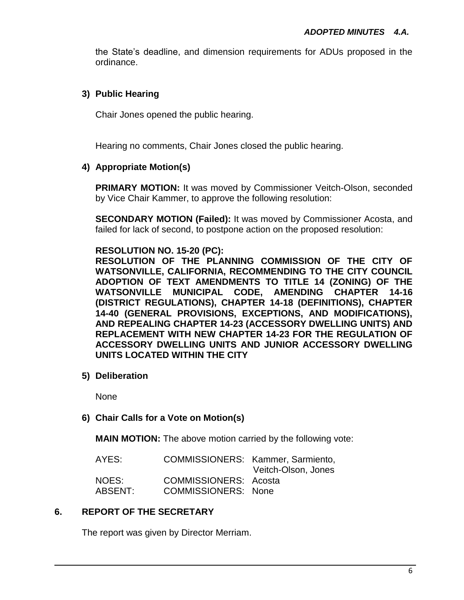the State's deadline, and dimension requirements for ADUs proposed in the ordinance.

# **3) Public Hearing**

Chair Jones opened the public hearing.

Hearing no comments, Chair Jones closed the public hearing.

# **4) Appropriate Motion(s)**

**PRIMARY MOTION:** It was moved by Commissioner Veitch-Olson, seconded by Vice Chair Kammer, to approve the following resolution:

**SECONDARY MOTION (Failed):** It was moved by Commissioner Acosta, and failed for lack of second, to postpone action on the proposed resolution:

# **RESOLUTION NO. 15-20 (PC):**

**RESOLUTION OF THE PLANNING COMMISSION OF THE CITY OF WATSONVILLE, CALIFORNIA, RECOMMENDING TO THE CITY COUNCIL ADOPTION OF TEXT AMENDMENTS TO TITLE 14 (ZONING) OF THE WATSONVILLE MUNICIPAL CODE, AMENDING CHAPTER 14-16 (DISTRICT REGULATIONS), CHAPTER 14-18 (DEFINITIONS), CHAPTER 14-40 (GENERAL PROVISIONS, EXCEPTIONS, AND MODIFICATIONS), AND REPEALING CHAPTER 14-23 (ACCESSORY DWELLING UNITS) AND REPLACEMENT WITH NEW CHAPTER 14-23 FOR THE REGULATION OF ACCESSORY DWELLING UNITS AND JUNIOR ACCESSORY DWELLING UNITS LOCATED WITHIN THE CITY**

**5) Deliberation**

None

# **6) Chair Calls for a Vote on Motion(s)**

**MAIN MOTION:** The above motion carried by the following vote:

| AYES:   |                              | COMMISSIONERS: Kammer, Sarmiento, |
|---------|------------------------------|-----------------------------------|
|         |                              | Veitch-Olson, Jones               |
| NOES:   | <b>COMMISSIONERS: Acosta</b> |                                   |
| ABSENT: | <b>COMMISSIONERS: None</b>   |                                   |

# **6. REPORT OF THE SECRETARY**

The report was given by Director Merriam.